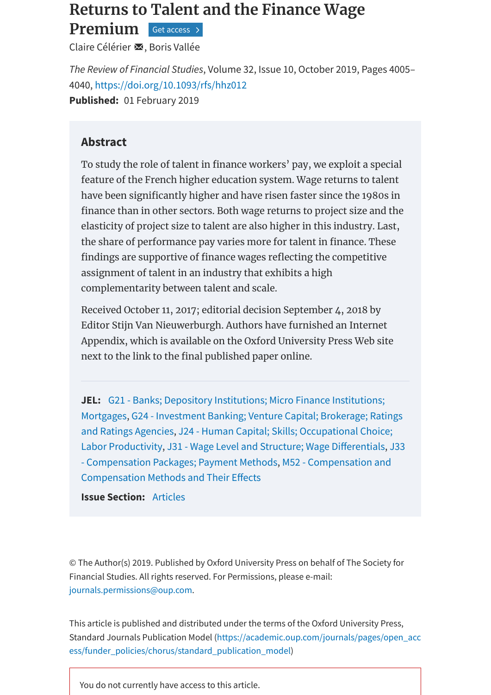## **Returns to Talent and the Finance Wage**

**Premium** Get [access](#page-0-0)

Claire [Célérier](javascript:;) ⊠, Boris [Vallée](javascript:;)

*The Review of Financial Studies*, Volume 32, Issue 10, October 2019, Pages 4005– 4040, <https://doi.org/10.1093/rfs/hhz012> **Published:** 01 February 2019

## **Abstract**

To study the role of talent in finance workers' pay, we exploit a special feature of the French higher education system. Wage returns to talent have been significantly higher and have risen faster since the 1980s in finance than in other sectors. Both wage returns to project size and the elasticity of project size to talent are also higher in this industry. Last, the share of performance pay varies more for talent in finance. These findings are supportive of finance wages reflecting the competitive assignment of talent in an industry that exhibits a high complementarity between talent and scale.

Received October 11, 2017; editorial decision September 4, 2018 by Editor Stijn Van Nieuwerburgh. Authors have furnished an Internet Appendix, which is available on the Oxford University Press Web site next to the link to the final published paper online.

**JEL:** G21 - Banks; Depository [Institutions;](https://academic.oup.com/rfs/search-results?page=1&tax=JEL/G21) Micro Finance Institutions; Mortgages, G24 - Investment Banking; Venture Capital; Brokerage; Ratings and Ratings Agencies, J24 - Human Capital; Skills; [Occupational](https://academic.oup.com/rfs/search-results?page=1&tax=JEL/G24) Choice; Labor Productivity, J31 - Wage Level and Structure; Wage Differentials, J33 - Compensation Packages; Payment Methods, M52 - [Compensation](https://academic.oup.com/rfs/search-results?page=1&tax=JEL/J33) and [Compensation](https://academic.oup.com/rfs/search-results?page=1&tax=JEL/M52) Methods and Their Effects

**Issue Section:** [Articles](https://academic.oup.com/rfs/search-results?f_TocHeadingTitle=Articles)

© The Author(s) 2019. Published by Oxford University Press on behalf of The Society for Financial Studies. All rights reserved. For Permissions, please e-mail: [journals.permissions@oup.com](mailto:journals.permissions@oup.com).

This article is published and distributed under the terms of the Oxford University Press, Standard Journals Publication Model (https://academic.oup.com/journals/pages/open\_acc [ess/funder\\_policies/chorus/standard\\_publication\\_model\)](https://academic.oup.com/journals/pages/open_access/funder_policies/chorus/standard_publication_model)

<span id="page-0-0"></span>You do not currently have access to this article.